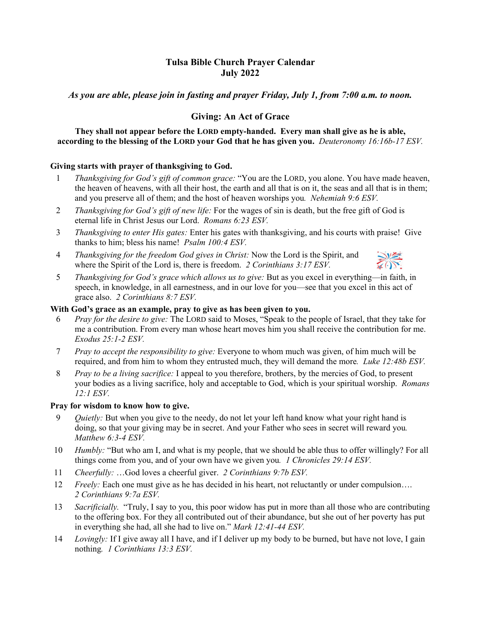# **Tulsa Bible Church Prayer Calendar July 2022**

*As you are able, please join in fasting and prayer Friday, July 1, from 7:00 a.m. to noon.* 

## **Giving: An Act of Grace**

**They shall not appear before the LORD empty-handed. Every man shall give as he is able, according to the blessing of the LORD your God that he has given you.** *Deuteronomy 16:16b-17 ESV.* 

## **Giving starts with prayer of thanksgiving to God.**

- 1 *Thanksgiving for God's gift of common grace:* "You are the LORD, you alone. You have made heaven, the heaven of heavens, with all their host, the earth and all that is on it, the seas and all that is in them; and you preserve all of them; and the host of heaven worships you*. Nehemiah 9:6 ESV.*
- 2 *Thanksgiving for God's gift of new life:* For the wages of sin is death, but the free gift of God is eternal life in Christ Jesus our Lord. *Romans 6:23 ESV.*
- 3 *Thanksgiving to enter His gates:* Enter his gates with thanksgiving, and his courts with praise! Give thanks to him; bless his name! *Psalm 100:4 ESV.*
- 4 *Thanksgiving for the freedom God gives in Christ:* Now the Lord is the Spirit, and where the Spirit of the Lord is, there is freedom. *2 Corinthians 3:17 ESV.*

| <i>Thanksgiving for God's grace which allows us to give: But as you excel in everything—in faith, in</i> |
|----------------------------------------------------------------------------------------------------------|
| speech, in knowledge, in all earnestness, and in our love for you—see that you excel in this act of      |
| grace also. 2 Corinthians $8.7$ ESV.                                                                     |

## **With God's grace as an example, pray to give as has been given to you.**

- 6 *Pray for the desire to give:* The LORD said to Moses, "Speak to the people of Israel, that they take for me a contribution. From every man whose heart moves him you shall receive the contribution for me. *Exodus 25:1-2 ESV.*
- 7 *Pray to accept the responsibility to give:* Everyone to whom much was given, of him much will be required, and from him to whom they entrusted much, they will demand the more*. Luke 12:48b ESV.*
- 8 *Pray to be a living sacrifice:* I appeal to you therefore, brothers, by the mercies of God, to present your bodies as a living sacrifice, holy and acceptable to God, which is your spiritual worship. *Romans 12:1 ESV.*

### **Pray for wisdom to know how to give.**

- 9 *Quietly:* But when you give to the needy, do not let your left hand know what your right hand is doing, so that your giving may be in secret. And your Father who sees in secret will reward you*. Matthew 6:3-4 ESV.*
- 10 *Humbly:* "But who am I, and what is my people, that we should be able thus to offer willingly? For all things come from you, and of your own have we given you*. 1 Chronicles 29:14 ESV.*
- 11 *Cheerfully:* …God loves a cheerful giver. *2 Corinthians 9:7b ESV.*
- 12 *Freely:* Each one must give as he has decided in his heart, not reluctantly or under compulsion…. *2 Corinthians 9:7a ESV.*
- 13 *Sacrificially.* "Truly, I say to you, this poor widow has put in more than all those who are contributing to the offering box. For they all contributed out of their abundance, but she out of her poverty has put in everything she had, all she had to live on." *Mark 12:41-44 ESV.*
- 14 *Lovingly:* If I give away all I have, and if I deliver up my body to be burned, but have not love, I gain nothing*. 1 Corinthians 13:3 ESV.*